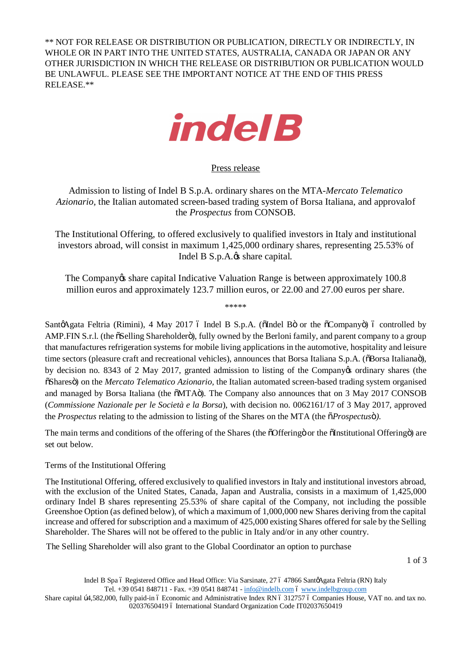\*\* NOT FOR RELEASE OR DISTRIBUTION OR PUBLICATION, DIRECTLY OR INDIRECTLY, IN WHOLE OR IN PART INTO THE UNITED STATES, AUSTRALIA, CANADA OR JAPAN OR ANY OTHER JURISDICTION IN WHICH THE RELEASE OR DISTRIBUTION OR PUBLICATION WOULD BE UNLAWFUL. PLEASE SEE THE IMPORTANT NOTICE AT THE END OF THIS PRESS RELEASE.\*\*



Press release

Admission to listing of Indel B S.p.A. ordinary shares on the MTA-*Mercato Telematico Azionario,* the Italian automated screen-based trading system of Borsa Italiana, and approvalof the *Prospectus* from CONSOB.

The Institutional Offering, to offered exclusively to qualified investors in Italy and institutional investors abroad, will consist in maximum 1,425,000 ordinary shares, representing 25.53% of Indel B S.p.A. $\alpha$  share capital.

The Company ts share capital Indicative Valuation Range is between approximately 100.8 million euros and approximately 123.7 million euros, or 22.00 and 27.00 euros per share.

\*\*\*\*\*

SantøAgata Feltria (Rimini), 4 May 2017 ó Indel B S.p.A. (õIndel Bö or the õCompanyö) ó controlled by AMP.FIN S.r.l. (the  $\delta$ Selling Shareholder $\ddot{\sigma}$ ), fully owned by the Berloni family, and parent company to a group that manufactures refrigeration systems for mobile living applications in the automotive, hospitality and leisure time sectors (pleasure craft and recreational vehicles), announces that Borsa Italiana S.p.A. ( $\delta$ Borsa Italiana $\ddot{o}$ ), by decision no. 8343 of 2 May 2017, granted admission to listing of the Company's ordinary shares (the "Shares") on the *Mercato Telematico Azionario,* the Italian automated screen-based trading system organised and managed by Borsa Italiana (the  $\delta MTA\ddot{o}$ ). The Company also announces that on 3 May 2017 CONSOB (*Commissione Nazionale per le Società e la Borsa*), with decision no. 0062161/17 of 3 May 2017, approved the *Prospectus* relating to the admission to listing of the Shares on the MTA (the  $\tilde{o}$ *Prospectuso*<sup> $\tilde{o}$ </sup>).

The main terms and conditions of the offering of the Shares (the  $\tilde{\text{O}}$ Offering or the  $\tilde{\text{O}}$ Institutional Offering  $\tilde{\text{o}}$ ) are set out below.

## Terms of the Institutional Offering

The Institutional Offering, offered exclusively to qualified investors in Italy and institutional investors abroad, with the exclusion of the United States, Canada, Japan and Australia, consists in a maximum of 1,425,000 ordinary Indel B shares representing 25.53% of share capital of the Company, not including the possible Greenshoe Option (as defined below), of which a maximum of 1,000,000 new Shares deriving from the capital increase and offered for subscription and a maximum of 425,000 existing Shares offered for sale by the Selling Shareholder. The Shares will not be offered to the public in Italy and/or in any other country.

The Selling Shareholder will also grant to the Global Coordinator an option to purchase

1 of 3

Indel B Spa ó Registered Office and Head Office: Via Sarsinate, 27 ó 47866 SantgAgata Feltria (RN) Italy Tel. +39 0541 848711 - Fax. +39 0541 848741 - [info@indelb.com](mailto:info@indelb.com) 6 [www.indelbgroup.com](http://www.indelbgroup.com/)

Share capital  $\beta$ 4,582,000, fully paid-in 6 Economic and Administrative Index RN 6 312757 6 Companies House, VAT no. and tax no. 02037650419 ó International Standard Organization Code IT02037650419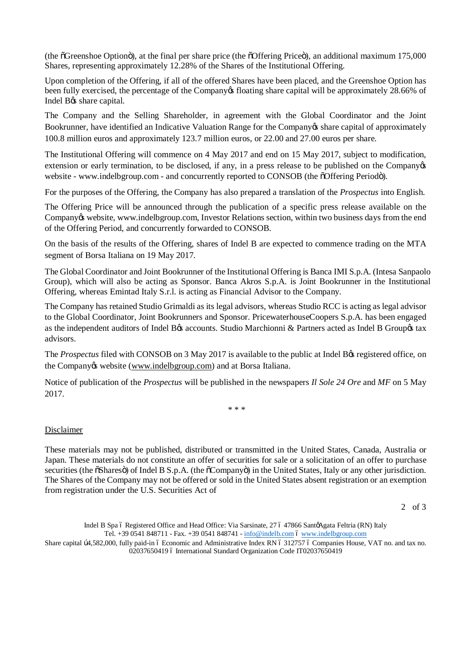(the  $\tilde{O}$ Greenshoe Optiono), at the final per share price (the  $\tilde{O}$ Offering Price<sub>o</sub>), an additional maximum 175,000 Shares, representing approximately 12.28% of the Shares of the Institutional Offering.

Upon completion of the Offering, if all of the offered Shares have been placed, and the Greenshoe Option has been fully exercised, the percentage of the Company of floating share capital will be approximately 28.66% of Indel B $\alpha$ share capital.

The Company and the Selling Shareholder, in agreement with the Global Coordinator and the Joint Bookrunner, have identified an Indicative Valuation Range for the Company is share capital of approximately 100.8 million euros and approximately 123.7 million euros, or 22.00 and 27.00 euros per share.

The Institutional Offering will commence on 4 May 2017 and end on 15 May 2017, subject to modification, extension or early termination, to be disclosed, if any, in a press release to be published on the Company $\otimes$ website - [www.indelbgroup.com -](http://www.indelbgroup.com/) and concurrently reported to CONSOB (the  $\delta$ Offering Period $\delta$ ).

For the purposes of the Offering, the Company has also prepared a translation of the *Prospectus* into English.

The Offering Price will be announced through the publication of a specific press release available on the Company to website, [www.indelbgroup.com,](http://www.indelbgroup.com/) Investor Relations section, within two business days from the end of the Offering Period, and concurrently forwarded to CONSOB.

On the basis of the results of the Offering, shares of Indel B are expected to commence trading on the MTA segment of Borsa Italiana on 19 May 2017.

The Global Coordinator and Joint Bookrunner of the Institutional Offering is Banca IMI S.p.A. (Intesa Sanpaolo Group), which will also be acting as Sponsor. Banca Akros S.p.A. is Joint Bookrunner in the Institutional Offering, whereas Emintad Italy S.r.l. is acting as Financial Advisor to the Company.

The Company has retained Studio Grimaldi as its legal advisors, whereas Studio RCC is acting as legal advisor to the Global Coordinator, Joint Bookrunners and Sponsor. PricewaterhouseCoopers S.p.A. has been engaged as the independent auditors of Indel B& accounts. Studio Marchionni & Partners acted as Indel B Group& tax advisors.

The *Prospectus* filed with CONSOB on 3 May 2017 is available to the public at Indel B<sub>G</sub> registered office, on the Company & website [\(www.indelbgroup.com\)](http://www.indelbgroup.com/) and at Borsa Italiana.

Notice of publication of the *Prospectus* will be published in the newspapers *Il Sole 24 Ore* and *MF* on 5 May 2017.

\* \* \*

## Disclaimer

These materials may not be published, distributed or transmitted in the United States, Canada, Australia or Japan. These materials do not constitute an offer of securities for sale or a solicitation of an offer to purchase securities (the  $\delta$ Shares $\delta$ ) of Indel B S.p.A. (the  $\delta$ Company $\delta$ ) in the United States, Italy or any other jurisdiction. The Shares of the Company may not be offered or sold in the United States absent registration or an exemption from registration under the U.S. Securities Act of

2 of 3

Indel B Spa 6 Registered Office and Head Office: Via Sarsinate, 27 6 47866 Sant@Agata Feltria (RN) Italy Tel. +39 0541 848711 - Fax. +39 0541 848741 - [info@indelb.com](mailto:info@indelb.com) 6 [www.indelbgroup.com](http://www.indelbgroup.com/)

Share capital b4,582,000, fully paid-in 6 Economic and Administrative Index RN 6 312757 6 Companies House, VAT no. and tax no. 02037650419 ó International Standard Organization Code IT02037650419